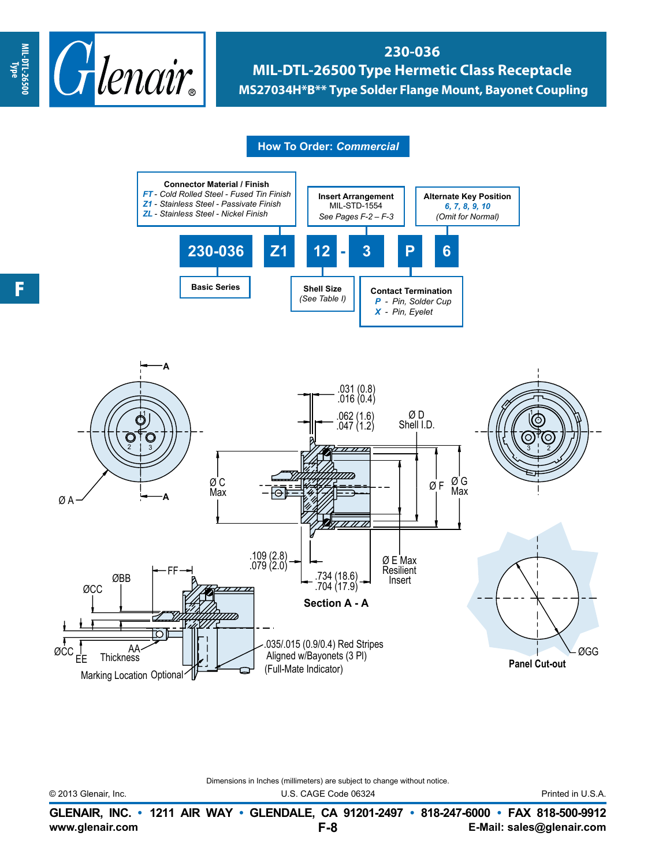

**230-036 MIL-DTL-26500 Type Hermetic Class Receptacle MS27034H\*B\*\* Type Solder Flange Mount, Bayonet Coupling**

## **How To Order:** *Commercial*



Dimensions in Inches (millimeters) are subject to change without notice.

© 2013 Glenair, Inc. U.S. CAGE Code 06324 Printed in U.S.A.

**www.glenair.com E-Mail: sales@glenair.com GLENAIR, INC. • 1211 AIR WAY • GLENDALE, CA 91201-2497 • 818-247-6000 • FAX 818-500-9912 F-8**